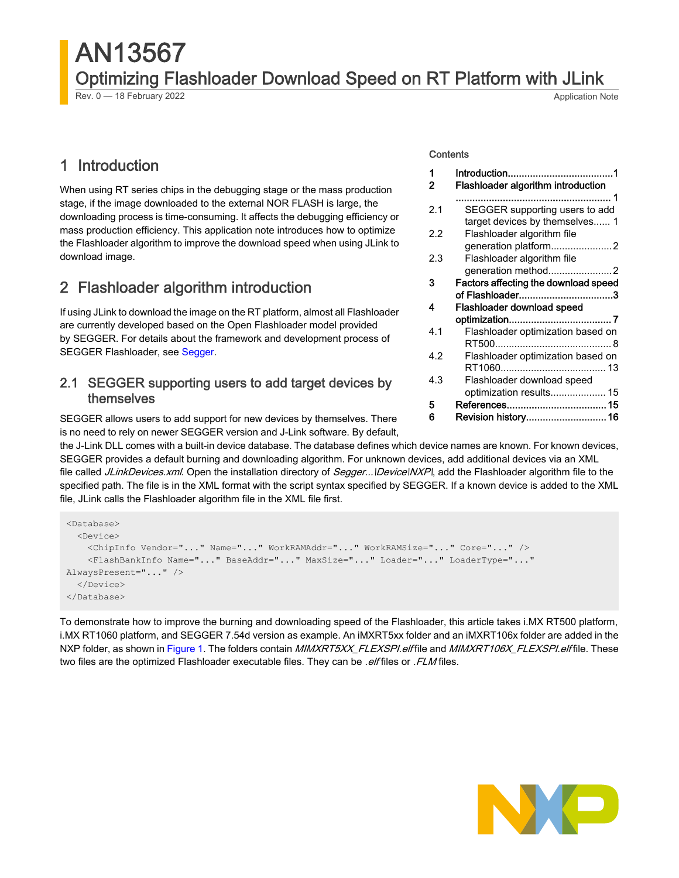# AN13567 Optimizing Flashloader Download Speed on RT Platform with JLink Rev. 0 — 18 February 2022 **Application Note** Rev. 0 — 18 February 2022

## 1 Introduction

When using RT series chips in the debugging stage or the mass production stage, if the image downloaded to the external NOR FLASH is large, the downloading process is time-consuming. It affects the debugging efficiency or mass production efficiency. This application note introduces how to optimize the Flashloader algorithm to improve the download speed when using JLink to download image.

## 2 Flashloader algorithm introduction

If using JLink to download the image on the RT platform, almost all Flashloader are currently developed based on the Open Flashloader model provided by SEGGER. For details about the framework and development process of SEGGER Flashloader, see [Segger](https://www.segger.com/).

## 2.1 SEGGER supporting users to add target devices by themselves

SEGGER allows users to add support for new devices by themselves. There is no need to rely on newer SEGGER version and J-Link software. By default,

### **Contents**

| 1<br>2 | Flashloader algorithm introduction   |
|--------|--------------------------------------|
|        |                                      |
|        |                                      |
| 2.1    | SEGGER supporting users to add       |
|        | target devices by themselves 1       |
| 22     | Flashloader algorithm file           |
|        | generation platform2                 |
| 2.3    | Flashloader algorithm file           |
|        |                                      |
| 3      | Factors affecting the download speed |
|        | of Flashloader3                      |
| 4      | Flashloader download speed           |
|        |                                      |
| 4.1    | Flashloader optimization based on    |
|        |                                      |
| 4.2    | Flashloader optimization based on    |
|        |                                      |
| 4.3    | Flashloader download speed           |
|        | optimization results 15              |
| 5      |                                      |
| 6      | Revision history 16                  |
|        |                                      |

the J-Link DLL comes with a built-in device database. The database defines which device names are known. For known devices, SEGGER provides a default burning and downloading algorithm. For unknown devices, add additional devices via an XML file called JLinkDevices.xml. Open the installation directory of Segger...\Device\NXP\, add the Flashloader algorithm file to the specified path. The file is in the XML format with the script syntax specified by SEGGER. If a known device is added to the XML file, JLink calls the Flashloader algorithm file in the XML file first.

```
<Database>
   <Device>
     <ChipInfo Vendor="..." Name="..." WorkRAMAddr="..." WorkRAMSize="..." Core="..." />
     <FlashBankInfo Name="..." BaseAddr="..." MaxSize="..." Loader="..." LoaderType="..." 
AlwaysPresent="..." />
   </Device>
</Database>
```
To demonstrate how to improve the burning and downloading speed of the Flashloader, this article takes i.MX RT500 platform, i.MX RT1060 platform, and SEGGER 7.54d version as example. An iMXRT5xx folder and an iMXRT106x folder are added in the NXP folder, as shown in [Figure 1](#page-1-0). The folders contain MIMXRT5XX\_FLEXSPI.elf file and MIMXRT106X\_FLEXSPI.elf file. These two files are the optimized Flashloader executable files. They can be *.elf* files or .*FLM* files.

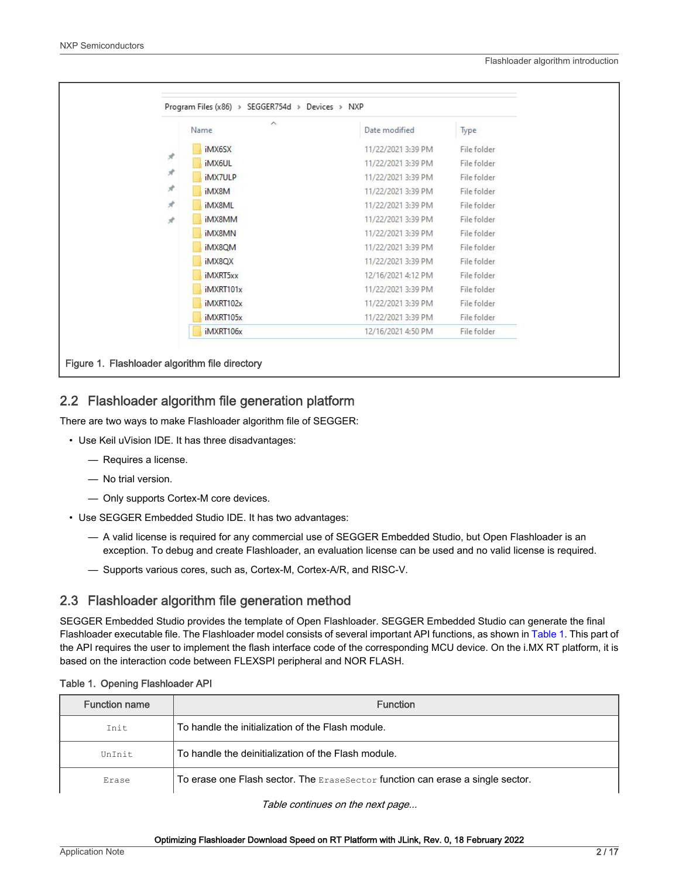#### Flashloader algorithm introduction

<span id="page-1-0"></span>

|               | $\wedge$<br>Name | Date modified      | Type        |
|---------------|------------------|--------------------|-------------|
|               | iMX6SX           | 11/22/2021 3:39 PM | File folder |
| $\mathcal{R}$ | iMX6UL           | 11/22/2021 3:39 PM | File folder |
| $\mathcal{R}$ | iMX7ULP          | 11/22/2021 3:39 PM | File folder |
| R             | iMX8M            | 11/22/2021 3:39 PM | File folder |
| À.            | iMX8ML           | 11/22/2021 3:39 PM | File folder |
| $\mathcal{A}$ | iMX8MM           | 11/22/2021 3:39 PM | File folder |
|               | iMX8MN           | 11/22/2021 3:39 PM | File folder |
|               | iMX8QM           | 11/22/2021 3:39 PM | File folder |
|               | iMX8QX           | 11/22/2021 3:39 PM | File folder |
|               | iMXRT5xx         | 12/16/2021 4:12 PM | File folder |
|               | iMXRT101x        | 11/22/2021 3:39 PM | File folder |
|               | iMXRT102x        | 11/22/2021 3:39 PM | File folder |
|               | iMXRT105x        | 11/22/2021 3:39 PM | File folder |
|               | iMXRT106x        | 12/16/2021 4:50 PM | File folder |

## 2.2 Flashloader algorithm file generation platform

There are two ways to make Flashloader algorithm file of SEGGER:

- Use Keil uVision IDE. It has three disadvantages:
	- Requires a license.
	- No trial version.
	- Only supports Cortex-M core devices.
- Use SEGGER Embedded Studio IDE. It has two advantages:
	- A valid license is required for any commercial use of SEGGER Embedded Studio, but Open Flashloader is an exception. To debug and create Flashloader, an evaluation license can be used and no valid license is required.
	- Supports various cores, such as, Cortex-M, Cortex-A/R, and RISC-V.

## 2.3 Flashloader algorithm file generation method

SEGGER Embedded Studio provides the template of Open Flashloader. SEGGER Embedded Studio can generate the final Flashloader executable file. The Flashloader model consists of several important API functions, as shown in Table 1. This part of the API requires the user to implement the flash interface code of the corresponding MCU device. On the i.MX RT platform, it is based on the interaction code between FLEXSPI peripheral and NOR FLASH.

| <b>Function name</b> | <b>Function</b>                                                                |
|----------------------|--------------------------------------------------------------------------------|
| Tnit.                | To handle the initialization of the Flash module.                              |
| UnTnit               | To handle the deinitialization of the Flash module.                            |
| Erase                | To erase one Flash sector. The EraseSector function can erase a single sector. |

### Table 1. Opening Flashloader API

Table continues on the next page...

#### Optimizing Flashloader Download Speed on RT Platform with JLink, Rev. 0, 18 February 2022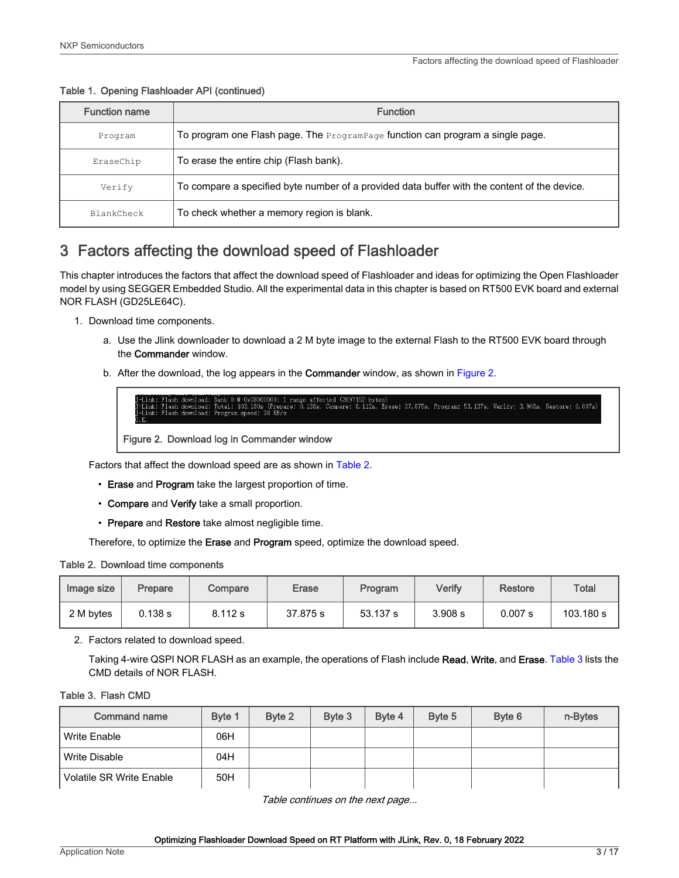<span id="page-2-0"></span>Table 1. Opening Flashloader API (continued)

| <b>Function name</b> | <b>Function</b>                                                                              |
|----------------------|----------------------------------------------------------------------------------------------|
| Program              | To program one Flash page. The $P_{\text{rogramPage}}$ function can program a single page.   |
| EraseChip            | To erase the entire chip (Flash bank).                                                       |
| Verify               | To compare a specified byte number of a provided data buffer with the content of the device. |
| BlankCheck           | To check whether a memory region is blank.                                                   |

## 3 Factors affecting the download speed of Flashloader

This chapter introduces the factors that affect the download speed of Flashloader and ideas for optimizing the Open Flashloader model by using SEGGER Embedded Studio. All the experimental data in this chapter is based on RT500 EVK board and external NOR FLASH (GD25LE64C).

- 1. Download time components.
	- a. Use the Jlink downloader to download a 2 M byte image to the external Flash to the RT500 EVK board through the Commander window.
	- b. After the download, the log appears in the Commander window, as shown in Figure 2.

s,<br>Erase: 37.875s, Program: 53.137s, Verify: 3.908s, Restore: 0.007s)

Figure 2. Download log in Commander window

Factors that affect the download speed are as shown in Table 2.

- Erase and Program take the largest proportion of time.
- Compare and Verify take a small proportion.
- Prepare and Restore take almost negligible time.

Therefore, to optimize the Erase and Program speed, optimize the download speed.

|  |  |  | Table 2. Download time components |
|--|--|--|-----------------------------------|
|--|--|--|-----------------------------------|

| Image size | Prepare | Compare | Erase    | Program  | Verify  | Restore | <b>Total</b> |
|------------|---------|---------|----------|----------|---------|---------|--------------|
| 2 M bytes  | 0.138 s | 8.112 s | 37.875 s | 53.137 s | 3.908 s | 0.007 s | 103.180 s    |

2. Factors related to download speed.

Taking 4-wire QSPI NOR FLASH as an example, the operations of Flash include Read, Write, and Erase. Table 3 lists the CMD details of NOR FLASH.

### Table 3. Flash CMD

| <b>Command name</b>             | Byte 1 | Byte 2 | Byte 3 | Byte 4 | Byte 5 | Byte 6 | n-Bytes |
|---------------------------------|--------|--------|--------|--------|--------|--------|---------|
| Write Enable                    | 06H    |        |        |        |        |        |         |
| Write Disable                   | 04H    |        |        |        |        |        |         |
| <b>Volatile SR Write Enable</b> | 50H    |        |        |        |        |        |         |

Table continues on the next page...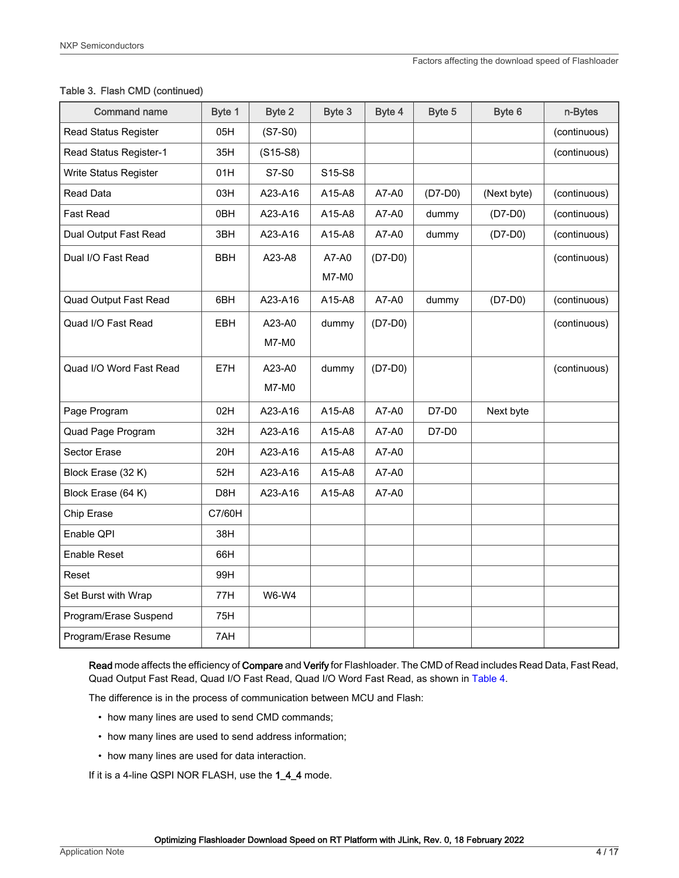### Table 3. Flash CMD (continued)

| <b>Command name</b>          | Byte 1     | Byte 2       | Byte 3       | Byte 4    | Byte 5    | Byte 6      | n-Bytes      |
|------------------------------|------------|--------------|--------------|-----------|-----------|-------------|--------------|
| <b>Read Status Register</b>  | 05H        | $(S7-S0)$    |              |           |           |             | (continuous) |
| Read Status Register-1       | 35H        | $(S15-S8)$   |              |           |           |             | (continuous) |
| Write Status Register        | 01H        | S7-S0        | S15-S8       |           |           |             |              |
| <b>Read Data</b>             | 03H        | A23-A16      | A15-A8       | A7-A0     | $(D7-D0)$ | (Next byte) | (continuous) |
| <b>Fast Read</b>             | 0BH        | A23-A16      | A15-A8       | A7-A0     | dummy     | $(D7-D0)$   | (continuous) |
| Dual Output Fast Read        | 3BH        | A23-A16      | A15-A8       | A7-A0     | dummy     | $(D7-D0)$   | (continuous) |
| Dual I/O Fast Read           | <b>BBH</b> | A23-A8       | A7-A0        | $(D7-D0)$ |           |             | (continuous) |
|                              |            |              | <b>M7-M0</b> |           |           |             |              |
| <b>Quad Output Fast Read</b> | 6BH        | A23-A16      | A15-A8       | A7-A0     | dummy     | $(D7-D0)$   | (continuous) |
| Quad I/O Fast Read           | <b>EBH</b> | A23-A0       | dummy        | $(D7-D0)$ |           |             | (continuous) |
|                              |            | M7-M0        |              |           |           |             |              |
| Quad I/O Word Fast Read      | E7H        | A23-A0       | dummy        | $(D7-D0)$ |           |             | (continuous) |
|                              |            | M7-M0        |              |           |           |             |              |
| Page Program                 | 02H        | A23-A16      | A15-A8       | A7-A0     | D7-D0     | Next byte   |              |
| Quad Page Program            | 32H        | A23-A16      | A15-A8       | A7-A0     | D7-D0     |             |              |
| Sector Erase                 | 20H        | A23-A16      | A15-A8       | A7-A0     |           |             |              |
| Block Erase (32 K)           | 52H        | A23-A16      | A15-A8       | A7-A0     |           |             |              |
| Block Erase (64 K)           | D8H        | A23-A16      | A15-A8       | A7-A0     |           |             |              |
| Chip Erase                   | C7/60H     |              |              |           |           |             |              |
| Enable QPI                   | 38H        |              |              |           |           |             |              |
| Enable Reset                 | 66H        |              |              |           |           |             |              |
| Reset                        | 99H        |              |              |           |           |             |              |
| Set Burst with Wrap          | 77H        | <b>W6-W4</b> |              |           |           |             |              |
| Program/Erase Suspend        | 75H        |              |              |           |           |             |              |
| Program/Erase Resume         | 7AH        |              |              |           |           |             |              |

Read mode affects the efficiency of Compare and Verify for Flashloader. The CMD of Read includes Read Data, Fast Read, Quad Output Fast Read, Quad I/O Fast Read, Quad I/O Word Fast Read, as shown in [Table 4.](#page-4-0)

The difference is in the process of communication between MCU and Flash:

- how many lines are used to send CMD commands;
- how many lines are used to send address information;
- how many lines are used for data interaction.

If it is a 4-line QSPI NOR FLASH, use the 1\_4\_4 mode.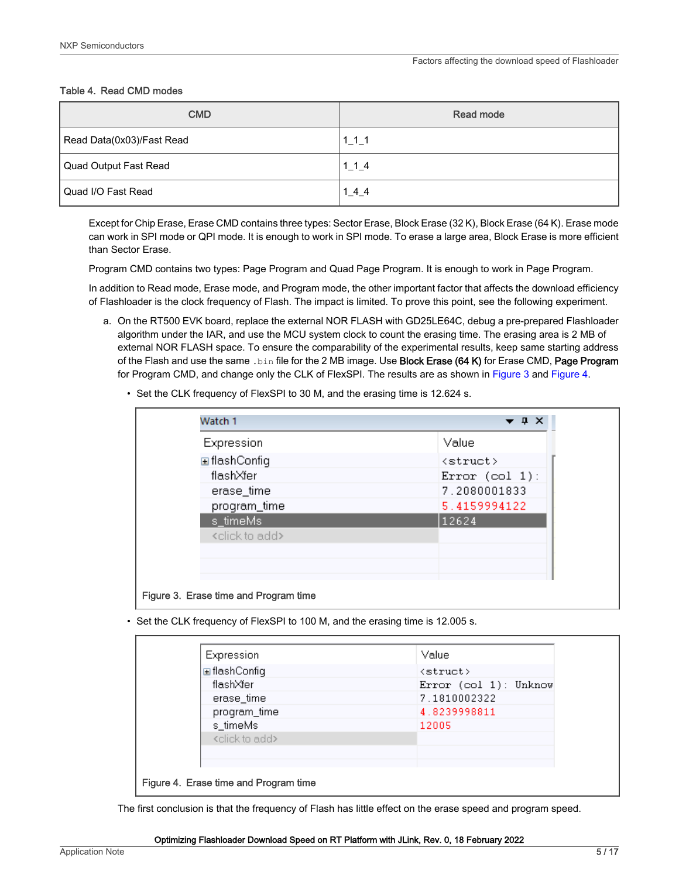### <span id="page-4-0"></span>Table 4. Read CMD modes

| <b>CMD</b>                | Read mode       |
|---------------------------|-----------------|
| Read Data(0x03)/Fast Read | $1_{1}$ $1_{1}$ |
| Quad Output Fast Read     | 1 1 4           |
| l Quad I/O Fast Read      | 144             |

Except for Chip Erase, Erase CMD contains three types: Sector Erase, Block Erase (32 K), Block Erase (64 K). Erase mode can work in SPI mode or QPI mode. It is enough to work in SPI mode. To erase a large area, Block Erase is more efficient than Sector Erase.

Program CMD contains two types: Page Program and Quad Page Program. It is enough to work in Page Program.

In addition to Read mode, Erase mode, and Program mode, the other important factor that affects the download efficiency of Flashloader is the clock frequency of Flash. The impact is limited. To prove this point, see the following experiment.

- a. On the RT500 EVK board, replace the external NOR FLASH with GD25LE64C, debug a pre-prepared Flashloader algorithm under the IAR, and use the MCU system clock to count the erasing time. The erasing area is 2 MB of external NOR FLASH space. To ensure the comparability of the experimental results, keep same starting address of the Flash and use the same .bin file for the 2 MB image. Use Block Erase (64 K) for Erase CMD, Page Program for Program CMD, and change only the CLK of FlexSPI. The results are as shown in Figure 3 and Figure 4.
	- Set the CLK frequency of FlexSPI to 30 M, and the erasing time is 12.624 s.

| Expression                   | Value             |
|------------------------------|-------------------|
| <b>⊞</b> flashConfiq         | <struct></struct> |
| flashXfer                    | Error $(col 1)$ : |
| erase_time                   | 7.2080001833      |
| program_time                 | 5.4159994122      |
| s_timeMs                     | 12624             |
| <click add="" to=""></click> |                   |
|                              |                   |
|                              |                   |

• Set the CLK frequency of FlexSPI to 100 M, and the erasing time is 12.005 s.

| Expression                   | Value                 |
|------------------------------|-----------------------|
| <b>⊞</b> flashConfiq         | <struct></struct>     |
| flashXfer                    | Error (col 1): Unknow |
| erase_time                   | 7.1810002322          |
| program_time                 | 4.8239998811          |
| s_timeMs                     | 12005                 |
| <click add="" to=""></click> |                       |
|                              |                       |
|                              |                       |

The first conclusion is that the frequency of Flash has little effect on the erase speed and program speed.

#### Optimizing Flashloader Download Speed on RT Platform with JLink, Rev. 0, 18 February 2022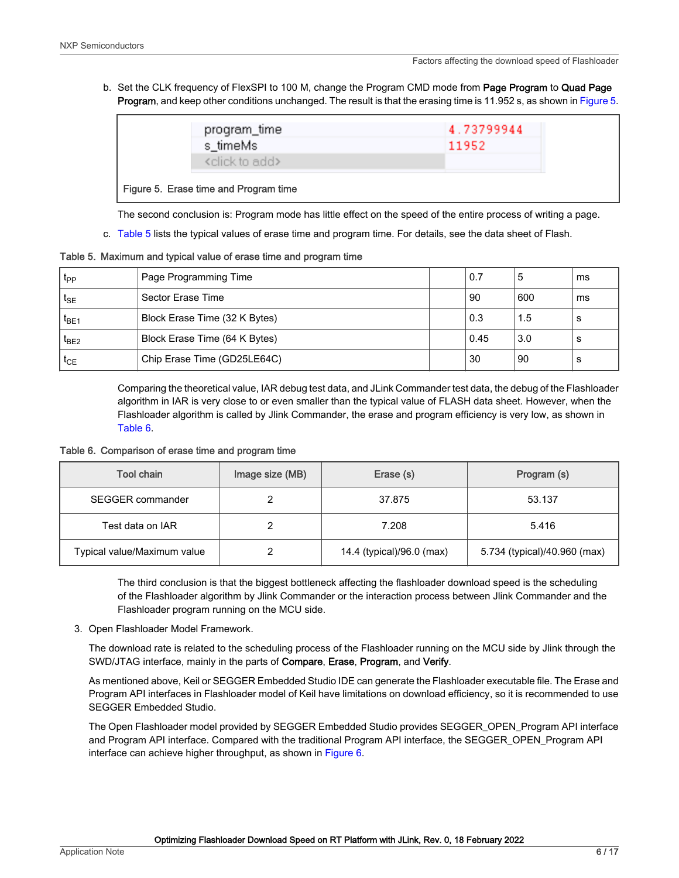b. Set the CLK frequency of FlexSPI to 100 M, change the Program CMD mode from Page Program to Quad Page Program, and keep other conditions unchanged. The result is that the erasing time is 11.952 s, as shown in Figure 5.

| program_time<br>s_timeMs                                               | 4.73799944<br>11952 |  |
|------------------------------------------------------------------------|---------------------|--|
| <click add="" to=""><br/>Figure 5. Erase time and Program time</click> |                     |  |

The second conclusion is: Program mode has little effect on the speed of the entire process of writing a page.

c. Table 5 lists the typical values of erase time and program time. For details, see the data sheet of Flash.

Table 5. Maximum and typical value of erase time and program time

| t <sub>PP</sub>   | Page Programming Time         | 0.7  | b   | ms |
|-------------------|-------------------------------|------|-----|----|
| $t_{\mathsf{SE}}$ | Sector Erase Time             | 90   | 600 | ms |
| $t_{BE1}$         | Block Erase Time (32 K Bytes) | 0.3  | 1.5 | s  |
| $t_{BE2}$         | Block Erase Time (64 K Bytes) | 0.45 | 3.0 | s  |
| $t_{CE}$          | Chip Erase Time (GD25LE64C)   | 30   | -90 | s  |

Comparing the theoretical value, IAR debug test data, and JLink Commander test data, the debug of the Flashloader algorithm in IAR is very close to or even smaller than the typical value of FLASH data sheet. However, when the Flashloader algorithm is called by Jlink Commander, the erase and program efficiency is very low, as shown in Table 6.

Table 6. Comparison of erase time and program time

| Tool chain                  | Image size (MB) | Erase (s)                 | Program (s)                  |
|-----------------------------|-----------------|---------------------------|------------------------------|
| <b>SEGGER</b> commander     |                 | 37.875                    | 53.137                       |
| Test data on IAR            |                 | 7.208                     | 5.416                        |
| Typical value/Maximum value |                 | 14.4 (typical)/96.0 (max) | 5.734 (typical)/40.960 (max) |

The third conclusion is that the biggest bottleneck affecting the flashloader download speed is the scheduling of the Flashloader algorithm by Jlink Commander or the interaction process between Jlink Commander and the Flashloader program running on the MCU side.

3. Open Flashloader Model Framework.

The download rate is related to the scheduling process of the Flashloader running on the MCU side by Jlink through the SWD/JTAG interface, mainly in the parts of Compare, Erase, Program, and Verify.

As mentioned above, Keil or SEGGER Embedded Studio IDE can generate the Flashloader executable file. The Erase and Program API interfaces in Flashloader model of Keil have limitations on download efficiency, so it is recommended to use SEGGER Embedded Studio.

The Open Flashloader model provided by SEGGER Embedded Studio provides SEGGER\_OPEN\_Program API interface and Program API interface. Compared with the traditional Program API interface, the SEGGER\_OPEN\_Program API interface can achieve higher throughput, as shown in [Figure 6](#page-6-0).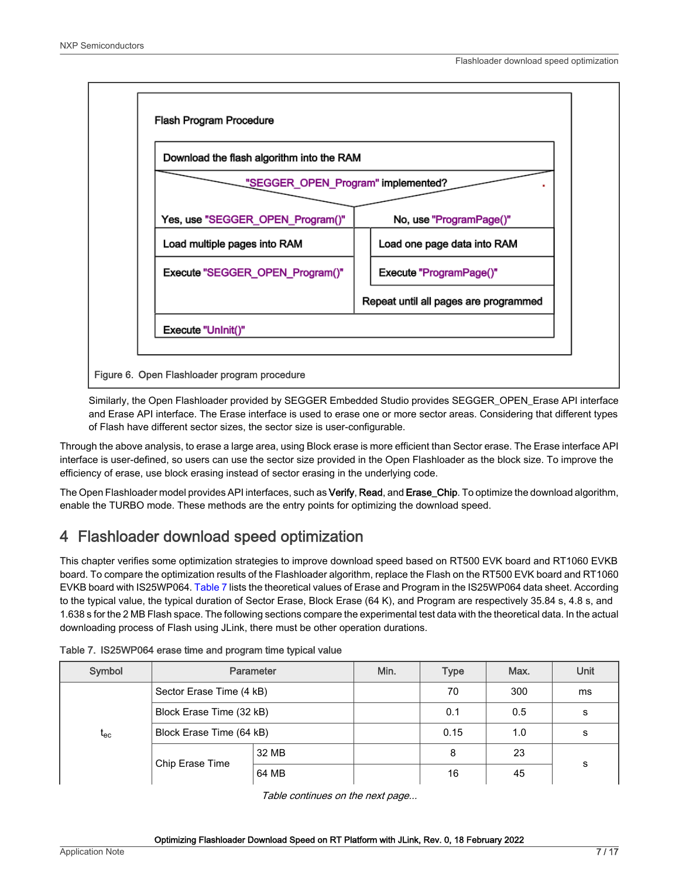<span id="page-6-0"></span>

Similarly, the Open Flashloader provided by SEGGER Embedded Studio provides SEGGER\_OPEN\_Erase API interface and Erase API interface. The Erase interface is used to erase one or more sector areas. Considering that different types of Flash have different sector sizes, the sector size is user-configurable.

Through the above analysis, to erase a large area, using Block erase is more efficient than Sector erase. The Erase interface API interface is user-defined, so users can use the sector size provided in the Open Flashloader as the block size. To improve the efficiency of erase, use block erasing instead of sector erasing in the underlying code.

The Open Flashloader model provides API interfaces, such as Verify, Read, and Erase\_Chip. To optimize the download algorithm, enable the TURBO mode. These methods are the entry points for optimizing the download speed.

# 4 Flashloader download speed optimization

This chapter verifies some optimization strategies to improve download speed based on RT500 EVK board and RT1060 EVKB board. To compare the optimization results of the Flashloader algorithm, replace the Flash on the RT500 EVK board and RT1060 EVKB board with IS25WP064. Table 7 lists the theoretical values of Erase and Program in the IS25WP064 data sheet. According to the typical value, the typical duration of Sector Erase, Block Erase (64 K), and Program are respectively 35.84 s, 4.8 s, and 1.638 s for the 2 MB Flash space. The following sections compare the experimental test data with the theoretical data. In the actual downloading process of Flash using JLink, there must be other operation durations.

| Symbol                       |                          | Parameter | Min. | <b>Type</b> | Max. | <b>Unit</b> |  |
|------------------------------|--------------------------|-----------|------|-------------|------|-------------|--|
|                              | Sector Erase Time (4 kB) |           |      | 70          | 300  | ms          |  |
|                              | Block Erase Time (32 kB) |           |      | 0.1         | 0.5  | s           |  |
| $\mathfrak{t}_{\mathsf{ec}}$ | Block Erase Time (64 kB) |           |      | 0.15        | 1.0  | s           |  |
|                              |                          | 32 MB     |      | 8           | 23   |             |  |
|                              | Chip Erase Time          | 64 MB     |      | 16          | 45   | s           |  |

Table 7. IS25WP064 erase time and program time typical value

Table continues on the next page...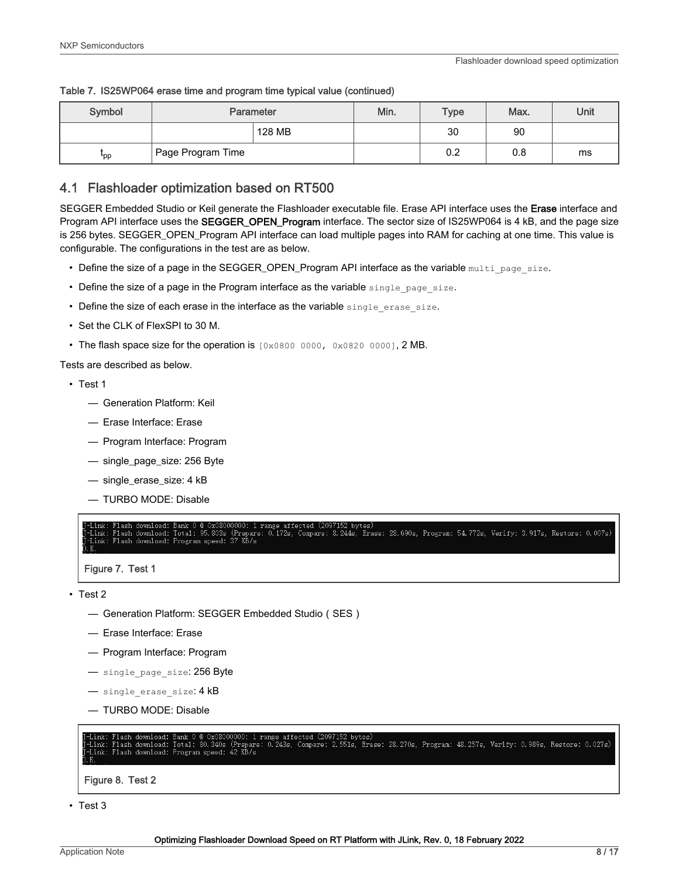| Symbol    |                                | Parameter | Min. | <b>Type</b> | Max. | Unit |
|-----------|--------------------------------|-----------|------|-------------|------|------|
|           |                                | 128 MB    |      | 30          | 90   |      |
| <b>pp</b> | <sup>l</sup> Page Program Time |           |      | 0.2         | 0.8  | ms   |

#### <span id="page-7-0"></span>Table 7. IS25WP064 erase time and program time typical value (continued)

## 4.1 Flashloader optimization based on RT500

SEGGER Embedded Studio or Keil generate the Flashloader executable file. Erase API interface uses the Erase interface and Program API interface uses the **SEGGER\_OPEN\_Program** interface. The sector size of IS25WP064 is 4 kB, and the page size is 256 bytes. SEGGER\_OPEN\_Program API interface can load multiple pages into RAM for caching at one time. This value is configurable. The configurations in the test are as below.

- Define the size of a page in the SEGGER\_OPEN\_Program API interface as the variable multi page size.
- Define the size of a page in the Program interface as the variable single page size.
- Define the size of each erase in the interface as the variable single erase size.
- Set the CLK of FlexSPI to 30 M.
- The flash space size for the operation is  $[0 \times 0800 0000, 0 \times 0820 0000]$ , 2 MB.

Tests are described as below.

- Test 1
	- Generation Platform: Keil
	- Erase Interface: Erase
	- Program Interface: Program
	- single\_page\_size: 256 Byte
	- single\_erase\_size: 4 kB
	- TURBO MODE: Disable

ected (2097152 bytes)<br>Compare: 8.244s, Erase: 28.690s, Program: 54.772s, Verify: 3.917s, Restore: 0.007s) 95.803s  $Total:$ (Prepare: 0.172s,

Figure 7. Test 1

- Test 2
	- Generation Platform: SEGGER Embedded Studio(SES)
	- Erase Interface: Erase
	- Program Interface: Program
	- single page size: 256 Byte
	- $-$  single erase size:  $4$  kB
	- TURBO MODE: Disable

scted (2097152 bytes)<br>Compare: 2.551s, Erase: 28.270s, Program: 48.257s, Verify: 0.989s, Restore: 0.027s) ранк о с одобобобо. т н.<br>Total: 80.340s (Prepare: hen Inwh  $0.2435.$ 

Figure 8. Test 2

<sup>•</sup> Test 3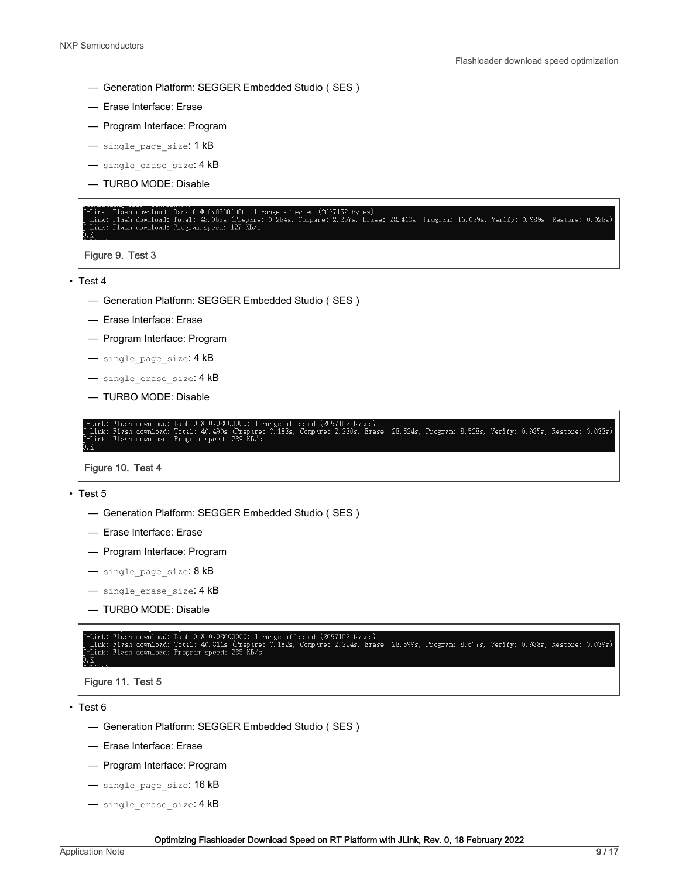- Generation Platform: SEGGER Embedded Studio(SES)
- Erase Interface: Erase
- Program Interface: Program
- single page size: 1 kB
- single erase size: 4 kB
- TURBO MODE: Disable

-Link: Flash download: Bank 0 @ 0x08000000: 1 range affected (2097152 bytes)<br>-Link: Flash download: Total: 48.063s (Prepare: 0.284s, Compare: 2.257s, Erase: 28.413s, Program: 16.089s, Verify: 0.989s, Restore: 0.028s)<br>-Link

Figure 9. Test 3

- Test 4
	- Generation Platform: SEGGER Embedded Studio(SES)
	- Erase Interface: Erase
	- Program Interface: Program
	- single\_page\_size: 4 kB
	- single erase size: 4 kB
	- TURBO MODE: Disable

Link: Fiash download: Dank 0 w oxoooooooo. 1 range affected (2091152 bytes)<br>Link: Flash download: Total: 40.490s (Prepare: 0.188s, Compare: 2.230s, Erase: 28.524s, Program: 8.528s, Verify: 0.985s, Restore: 0.033s)<br>Link: Fl

Figure 10. Test 4

- Test 5
	- Generation Platform: SEGGER Embedded Studio(SES)
	- Erase Interface: Erase
	- Program Interface: Program
	- single\_page\_size: 8 kB
	- single erase size: 4 kB
	- TURBO MODE: Disable

l range affected (2097152 bytes)<br>re: 0.182s, Compare: 2.224s, Erase: 28.699s, Program: 8.677s, Verify: 0.988s, Restore: 0.039s) download: Dank 0 @ 0x08000000. 1 Fa<br>download: Total: 40.811s (Prepare:<br>download: Program speed: 235 KB/s



• Test 6

- Generation Platform: SEGGER Embedded Studio(SES)
- Erase Interface: Erase
- Program Interface: Program
- single\_page\_size: 16 kB
- single erase size: 4 kB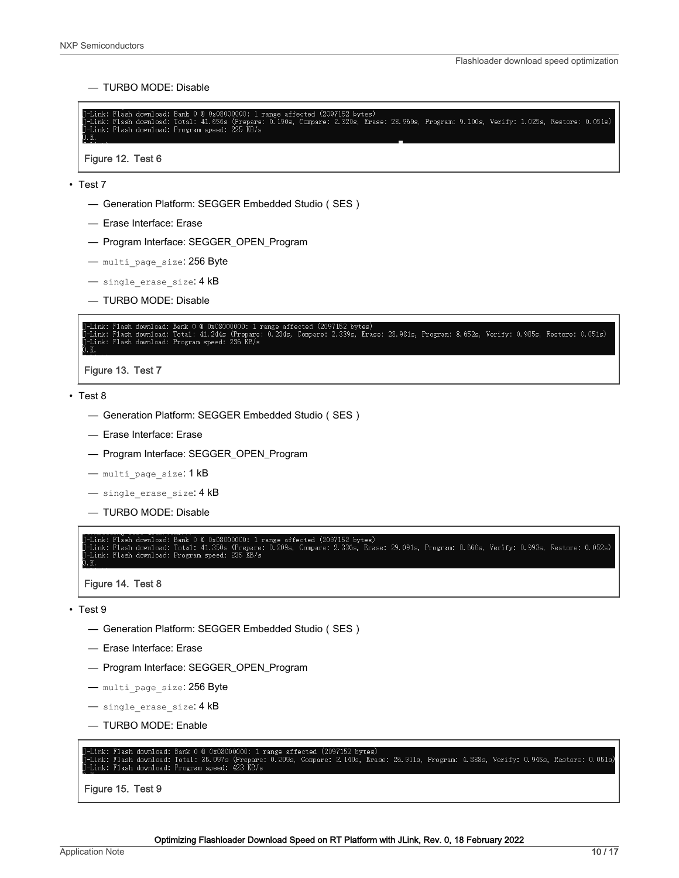— TURBO MODE: Disable

|       | T-Link: Flash download: Bank 0 @ 0x08000000: 1 range affected (2097152 bytes)                                                               |  |  |  |
|-------|---------------------------------------------------------------------------------------------------------------------------------------------|--|--|--|
|       | I-Link: Flash download: Total: 41.656s (Prepare: 0.190s, Compare: 2.320s, Erase: 28.969s, Program: 9.100s, Verify: 1.025s, Restore: 0.051s) |  |  |  |
|       | T-Link: Flash download: Program speed: 225 KB/s                                                                                             |  |  |  |
| O. K. |                                                                                                                                             |  |  |  |
| .     |                                                                                                                                             |  |  |  |

Figure 12. Test 6

- Test 7
	- Generation Platform: SEGGER Embedded Studio(SES)
	- Erase Interface: Erase
	- Program Interface: SEGGER\_OPEN\_Program
	- multi page size: 256 Byte
	- single erase size: 4 kB
	- TURBO MODE: Disable

Bank 0 @ 0x08000000: 1 range aff<br>Total: 41.244s (Prepare: 0.234s,<br>Program speed: 236 KB/s Compare: 2.339s, Erase: 28.981s, Program: 8.652s, Verify: 0.985s, Restore: 0.051s) Link: Flash downlo<br>Link: Flash downlo

Figure 13. Test 7

• Test 8

- Generation Platform: SEGGER Embedded Studio(SES)
- Erase Interface: Erase
- Program Interface: SEGGER\_OPEN\_Program
- multi page size: 1 kB
- single erase size: 4 kB
- TURBO MODE: Disable

Link: Flash download: Bank 0 @ 0x08000000: 1 range affected (2097152 bytes)<br>Link: Flash download: Total: 41.350s (Prepare: 0.209s, Compare: 2.336s, Erase: 29.091s, Program: 8.666s, Verify: 0.993s, Restore: 0.052s)<br>Link: Fl

Figure 14. Test 8

• Test 9

- Generation Platform: SEGGER Embedded Studio(SES)
- Erase Interface: Erase
- Program Interface: SEGGER\_OPEN\_Program
- multi page size: 256 Byte
- single\_erase\_size: 4 kB
- TURBO MODE: Enable

·Link: Flash download: Bank 0 @ 0x08000000: 1 range affected (2097152 bytes)<br>·Link: Flash download: Total: 35.097s (Prepare: 0.209s, Compare: 2.140s, Erase: 26.911s, Program: 4.838s, Verify: 0.945s, Restore: 0.051s)<br>·Link:

Figure 15. Test 9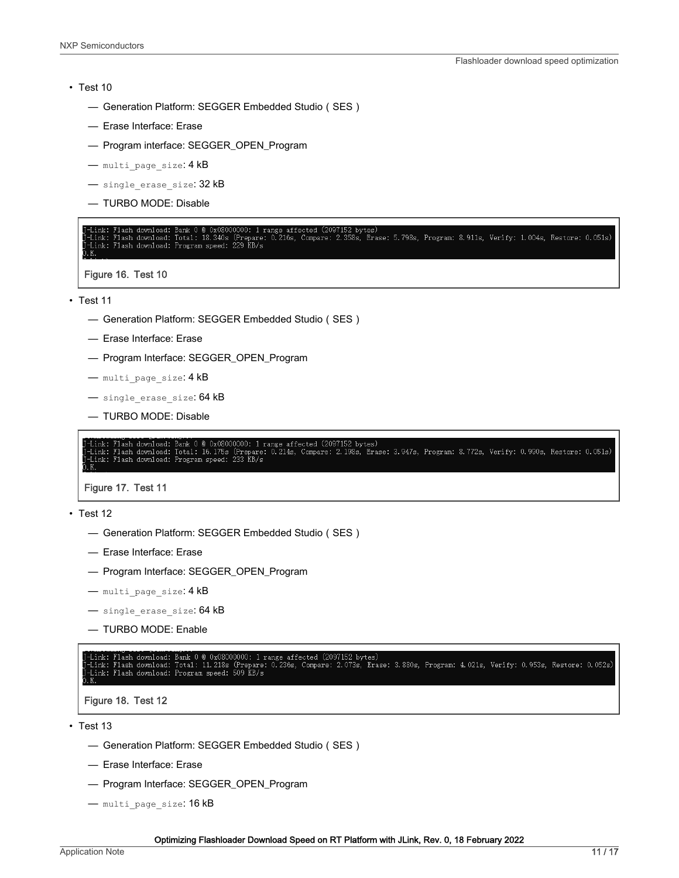#### • Test 10

- Generation Platform: SEGGER Embedded Studio(SES)
- Erase Interface: Erase
- Program interface: SEGGER\_OPEN\_Program
- multi page size: 4 kB
- single erase size: 32 kB
- TURBO MODE: Disable

#### rum: 18.340s (Prepare: 0.216s, Compare: 2.358s, Erase: 5.798s, Program: 8.911s, Verify: 1.004s, Restore: 0.051s) lash download: -Link:

Figure 16. Test 10

• Test 11

- Generation Platform: SEGGER Embedded Studio(SES)
- Erase Interface: Erase
- Program Interface: SEGGER\_OPEN\_Program
- multi page size: 4 kB
- single erase size: 64 kB
- TURBO MODE: Disable

Bank 0 @ 0x08000000: 1 range affected (2097152 bytes)<br>Total: 16.175s (Prepare: 0.214s, Compare: 2.198s, Erase: 3.947s, Program: 8.772s, Verify: 0.990s, Restore: 0.051s)<br>Program speed: 233 KB/s Flash download: Flash download:

Figure 17. Test 11

```
• Test 12
```
- Generation Platform: SEGGER Embedded Studio(SES)
- Erase Interface: Erase
- Program Interface: SEGGER\_OPEN\_Program
- multi page size: 4 kB
- single erase size: 64 kB
- TURBO MODE: Enable

Link: Flash download: Bank 0 @ 0x08000000: 1 range affected (2097152 bytes)<br>Link: Flash download: Total: 11.218s (Prepare: 0.236s, Compare: 2.073s, Erase: 3.880s, Program: 4.021s, Verify: 0.953s, Restore: 0.052s)<br>Link: Fla

```
Figure 18. Test 12
```
• Test 13

- Generation Platform: SEGGER Embedded Studio(SES)
- Erase Interface: Erase
- Program Interface: SEGGER\_OPEN\_Program
- multi page size: 16 kB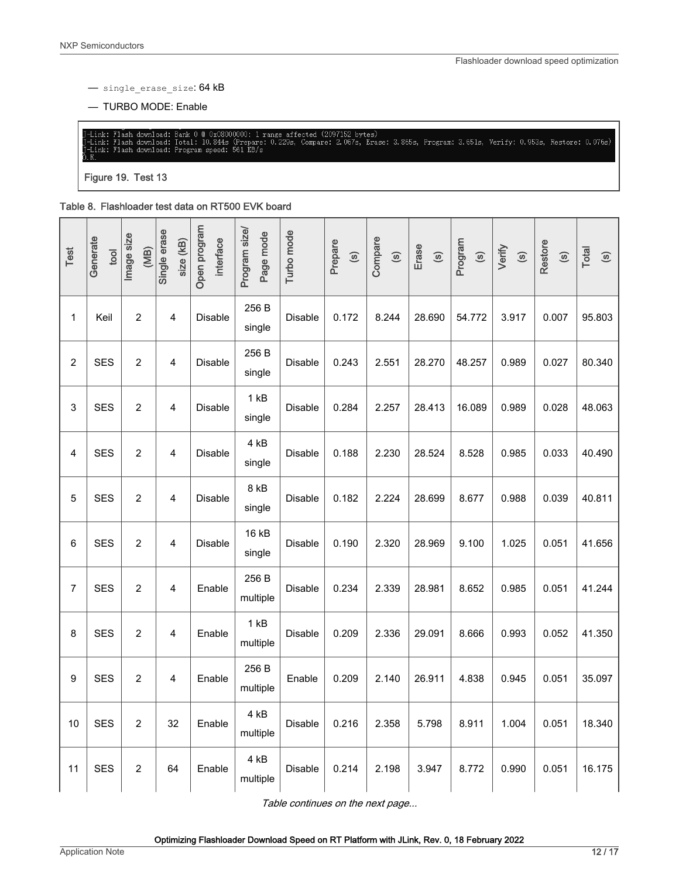<span id="page-11-0"></span>— single\_erase\_size: 64 kB

— TURBO MODE: Enable

Flash download: Bank 0 @ 0x08000000: 1 range affected (2097152 bytes)<br>Flash download: Total: 10.844s (Prepare: 0.229s, Compare: 2.067s, Erase: 3.865s, Program: 3.651s, Verify: 0.953s, Restore: 0.076s)<br>Flash download: Progr Link: \_\_\_\_\_<br>Link:

Figure 19. Test 13

#### Table 8. Flashloader test data on RT500 EVK board

| Test           | Generate<br>tool | Image size<br>(MB) | Single erase<br>size (kB) | Open program<br>interface | Program size/<br>Page mode | Turbo mode     | Prepare<br>$\odot$ | Compare<br>$\odot$ | Erase<br>$\circledcirc$ | Program<br>$\circledcirc$ | Verify<br>$\circledcirc$ | Restore<br>$\circledcirc$ | Total<br>$\odot$ |
|----------------|------------------|--------------------|---------------------------|---------------------------|----------------------------|----------------|--------------------|--------------------|-------------------------|---------------------------|--------------------------|---------------------------|------------------|
| $\mathbf 1$    | Keil             | $\overline{2}$     | $\overline{\mathbf{4}}$   | Disable                   | 256 B<br>single            | Disable        | 0.172              | 8.244              | 28.690                  | 54.772                    | 3.917                    | 0.007                     | 95.803           |
| $\overline{c}$ | <b>SES</b>       | $\overline{c}$     | $\overline{4}$            | <b>Disable</b>            | 256 B<br>single            | Disable        | 0.243              | 2.551              | 28.270                  | 48.257                    | 0.989                    | 0.027                     | 80.340           |
| 3              | <b>SES</b>       | $\overline{2}$     | 4                         | Disable                   | 1 kB<br>single             | <b>Disable</b> | 0.284              | 2.257              | 28.413                  | 16.089                    | 0.989                    | 0.028                     | 48.063           |
| 4              | <b>SES</b>       | $\overline{2}$     | 4                         | Disable                   | 4 kB<br>single             | Disable        | 0.188              | 2.230              | 28.524                  | 8.528                     | 0.985                    | 0.033                     | 40.490           |
| 5              | <b>SES</b>       | 2                  | $\overline{4}$            | Disable                   | 8 kB<br>single             | <b>Disable</b> | 0.182              | 2.224              | 28.699                  | 8.677                     | 0.988                    | 0.039                     | 40.811           |
| 6              | <b>SES</b>       | 2                  | 4                         | Disable                   | 16 kB<br>single            | Disable        | 0.190              | 2.320              | 28.969                  | 9.100                     | 1.025                    | 0.051                     | 41.656           |
| 7              | <b>SES</b>       | $\overline{2}$     | $\overline{4}$            | Enable                    | 256 B<br>multiple          | Disable        | 0.234              | 2.339              | 28.981                  | 8.652                     | 0.985                    | 0.051                     | 41.244           |
| 8              | <b>SES</b>       | $\overline{2}$     | $\overline{4}$            | Enable                    | 1 kB<br>multiple           | Disable        | 0.209              | 2.336              | 29.091                  | 8.666                     | 0.993                    | 0.052                     | 41.350           |
| 9              | <b>SES</b>       | $\overline{2}$     | $\overline{4}$            | Enable                    | 256 B<br>multiple          | Enable         | 0.209              | 2.140              | 26.911                  | 4.838                     | 0.945                    | 0.051                     | 35.097           |
| 10             | <b>SES</b>       | 2                  | 32                        | Enable                    | 4 kB<br>multiple           | Disable        | 0.216              | 2.358              | 5.798                   | 8.911                     | 1.004                    | 0.051                     | 18.340           |
| 11             | <b>SES</b>       | $\overline{c}$     | 64                        | Enable                    | 4 kB<br>multiple           | Disable        | 0.214              | 2.198              | 3.947                   | 8.772                     | 0.990                    | 0.051                     | 16.175           |

Table continues on the next page...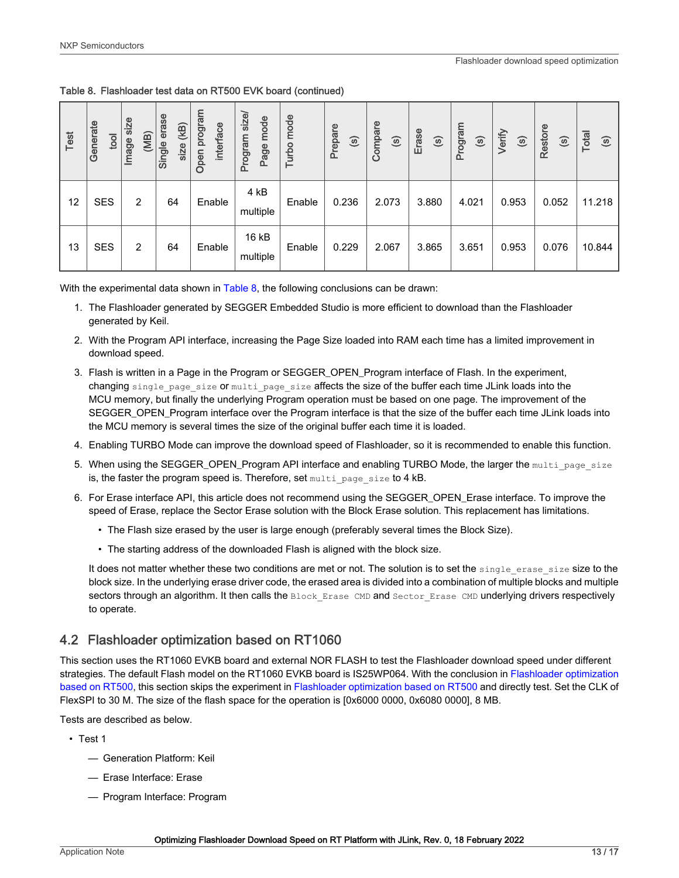<span id="page-12-0"></span>Table 8. Flashloader test data on RT500 EVK board (continued)

| Test | Generate<br>tool | size<br>(MB)<br>Image | erase<br>(KB)<br>Single<br>size | program<br>interface<br>Open | size/<br>mode<br>Program<br>Page | mode<br>Turbo | Prepare<br>$\odot$ | Compare<br>$\odot$ | Erase<br>$\odot$ | Program<br>$\odot$ | Verify<br>$\odot$ | Restore<br>$\odot$ | Total<br>$\odot$ |
|------|------------------|-----------------------|---------------------------------|------------------------------|----------------------------------|---------------|--------------------|--------------------|------------------|--------------------|-------------------|--------------------|------------------|
| 12   | <b>SES</b>       | 2                     | 64                              | Enable                       | 4 kB<br>multiple                 | Enable        | 0.236              | 2.073              | 3.880            | 4.021              | 0.953             | 0.052              | 11.218           |
| 13   | <b>SES</b>       | 2                     | 64                              | Enable                       | 16 kB<br>multiple                | Enable        | 0.229              | 2.067              | 3.865            | 3.651              | 0.953             | 0.076              | 10.844           |

With the experimental data shown in [Table 8,](#page-11-0) the following conclusions can be drawn:

- 1. The Flashloader generated by SEGGER Embedded Studio is more efficient to download than the Flashloader generated by Keil.
- 2. With the Program API interface, increasing the Page Size loaded into RAM each time has a limited improvement in download speed.
- 3. Flash is written in a Page in the Program or SEGGER\_OPEN\_Program interface of Flash. In the experiment, changing single page size or multi page size affects the size of the buffer each time JLink loads into the MCU memory, but finally the underlying Program operation must be based on one page. The improvement of the SEGGER\_OPEN\_Program interface over the Program interface is that the size of the buffer each time JLink loads into the MCU memory is several times the size of the original buffer each time it is loaded.
- 4. Enabling TURBO Mode can improve the download speed of Flashloader, so it is recommended to enable this function.
- 5. When using the SEGGER\_OPEN\_Program API interface and enabling TURBO Mode, the larger the multi page size is, the faster the program speed is. Therefore, set multi page size to 4 kB.
- 6. For Erase interface API, this article does not recommend using the SEGGER\_OPEN\_Erase interface. To improve the speed of Erase, replace the Sector Erase solution with the Block Erase solution. This replacement has limitations.
	- The Flash size erased by the user is large enough (preferably several times the Block Size).
	- The starting address of the downloaded Flash is aligned with the block size.

It does not matter whether these two conditions are met or not. The solution is to set the single erase size size to the block size. In the underlying erase driver code, the erased area is divided into a combination of multiple blocks and multiple sectors through an algorithm. It then calls the Block Erase CMD and Sector Erase CMD underlying drivers respectively to operate.

## 4.2 Flashloader optimization based on RT1060

This section uses the RT1060 EVKB board and external NOR FLASH to test the Flashloader download speed under different strategies. The default Flash model on the RT1060 EVKB board is IS25WP064. With the conclusion in [Flashloader optimization](#page-7-0) [based on RT500](#page-7-0), this section skips the experiment in [Flashloader optimization based on RT500](#page-7-0) and directly test. Set the CLK of FlexSPI to 30 M. The size of the flash space for the operation is [0x6000 0000, 0x6080 0000], 8 MB.

Tests are described as below.

- Test 1
	- Generation Platform: Keil
	- Erase Interface: Erase
	- Program Interface: Program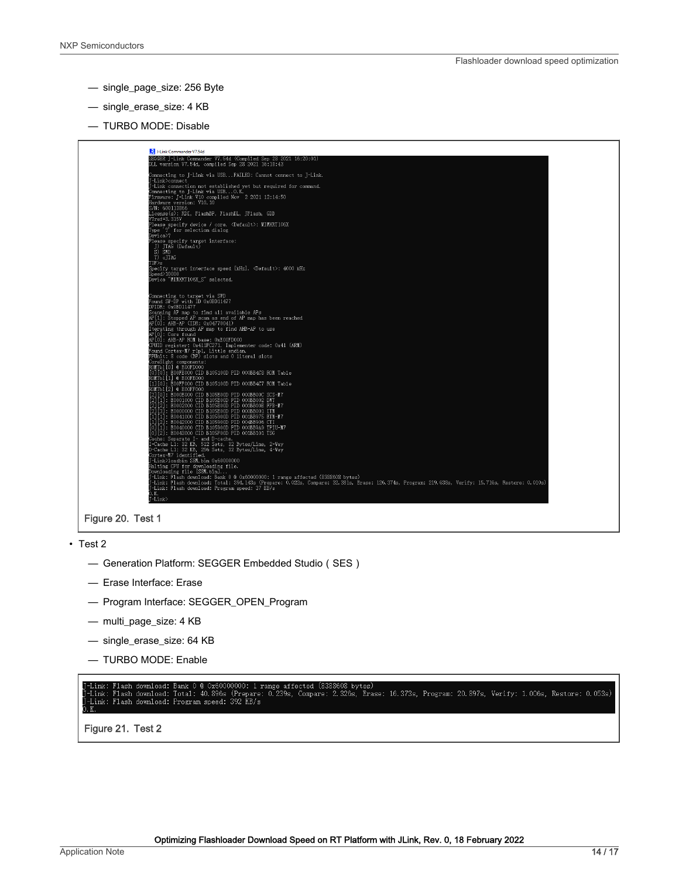- single\_page\_size: 256 Byte
- single\_erase\_size: 4 KB
- TURBO MODE: Disable



- Test 2
	- Generation Platform: SEGGER Embedded Studio(SES)
	- Erase Interface: Erase
	- Program Interface: SEGGER\_OPEN\_Program
	- multi\_page\_size: 4 KB
	- single\_erase\_size: 64 KB
	- TURBO MODE: Enable

Link: Flash download: Bank 0 @ 0x60000000: 1 range affected (8388608 bytes)<br>Link: Flash download: Total: 40.896s (Prepare: 0.239s, Compare: 2.326s, Erase: 16.373s, Program: 20.897s, Verify: 1.006s, Restore: 0.053s)<br>Link: F

Figure 21. Test 2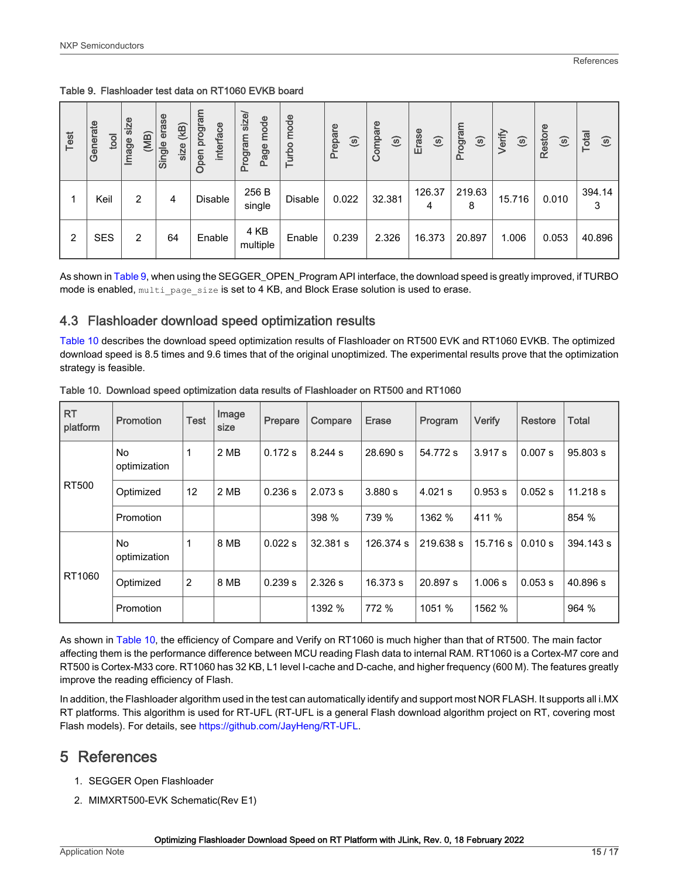<span id="page-14-0"></span>Table 9. Flashloader test data on RT1060 EVKB board

| Test | Generate<br>tool | size<br>(MB)<br>Image | erase<br>(KB)<br>Single<br>size | program<br>interface<br>Open | size<br>mode<br>medicou<br>Page<br>Ō. | mode<br>Turbo | Prepare<br>$\odot$ | Compare<br>$\odot$ | Erase<br>$\odot$ | Program<br>$\odot$ | Verify<br>$\odot$ | Restore<br>$\odot$ | Total<br>$\odot$ |
|------|------------------|-----------------------|---------------------------------|------------------------------|---------------------------------------|---------------|--------------------|--------------------|------------------|--------------------|-------------------|--------------------|------------------|
|      | Keil             | 2                     | 4                               | Disable                      | 256 B<br>single                       | Disable       | 0.022              | 32.381             | 126.37<br>4      | 219.63<br>8        | 15.716            | 0.010              | 394.14<br>3      |
| 2    | <b>SES</b>       | 2                     | 64                              | Enable                       | 4 KB<br>multiple                      | Enable        | 0.239              | 2.326              | 16.373           | 20.897             | 1.006             | 0.053              | 40.896           |

As shown in Table 9, when using the SEGGER\_OPEN\_Program API interface, the download speed is greatly improved, if TURBO mode is enabled,  $m$ ulti\_page\_size is set to 4 KB, and Block Erase solution is used to erase.

## 4.3 Flashloader download speed optimization results

Table 10 describes the download speed optimization results of Flashloader on RT500 EVK and RT1060 EVKB. The optimized download speed is 8.5 times and 9.6 times that of the original unoptimized. The experimental results prove that the optimization strategy is feasible.

| <b>RT</b><br>platform | Promotion          | <b>Test</b>    | Image<br>size | Prepare | Compare  | <b>Erase</b> | Program   | Verify   | <b>Restore</b> | <b>Total</b> |
|-----------------------|--------------------|----------------|---------------|---------|----------|--------------|-----------|----------|----------------|--------------|
|                       | No<br>optimization |                | 2 MB          | 0.172 s | 8.244 s  | 28.690 s     | 54.772 s  | 3.917 s  | 0.007 s        | 95.803 s     |
| <b>RT500</b>          | Optimized          | 12             | 2 MB          | 0.236 s | 2.073 s  | 3.880 s      | $4.021$ s | 0.953 s  | 0.052 s        | 11.218 s     |
|                       | Promotion          |                |               |         | 398 %    | 739 %        | 1362 %    | 411 %    |                | 854 %        |
| RT1060                | No<br>optimization | 1              | 8 MB          | 0.022 s | 32.381 s | 126.374 s    | 219.638 s | 15.716 s | 0.010 s        | 394.143 s    |
|                       | Optimized          | $\overline{2}$ | 8 MB          | 0.239 s | 2.326 s  | 16.373 s     | 20.897 s  | 1.006 s  | 0.053 s        | 40.896 s     |
|                       | Promotion          |                |               |         | 1392 %   | 772 %        | 1051 %    | 1562 %   |                | 964 %        |

Table 10. Download speed optimization data results of Flashloader on RT500 and RT1060

As shown in Table 10, the efficiency of Compare and Verify on RT1060 is much higher than that of RT500. The main factor affecting them is the performance difference between MCU reading Flash data to internal RAM. RT1060 is a Cortex-M7 core and RT500 is Cortex-M33 core. RT1060 has 32 KB, L1 level I-cache and D-cache, and higher frequency (600 M). The features greatly improve the reading efficiency of Flash.

In addition, the Flashloader algorithm used in the test can automatically identify and support most NOR FLASH. It supports all i.MX RT platforms. This algorithm is used for RT-UFL (RT-UFL is a general Flash download algorithm project on RT, covering most Flash models). For details, see <https://github.com/JayHeng/RT-UFL>.

## 5 References

- 1. SEGGER Open Flashloader
- 2. MIMXRT500-EVK Schematic(Rev E1)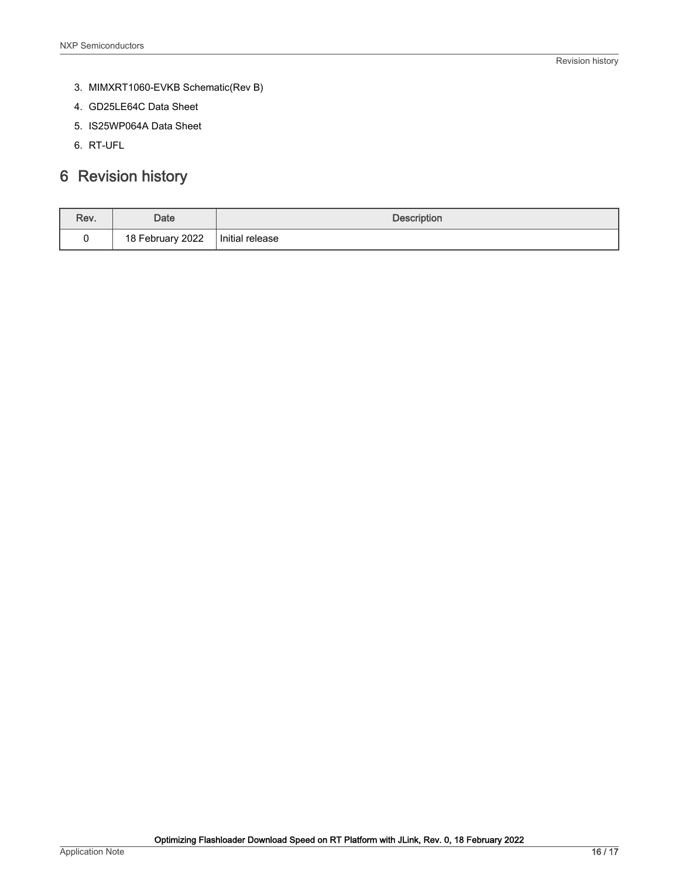- <span id="page-15-0"></span>3. MIMXRT1060-EVKB Schematic(Rev B)
- 4. GD25LE64C Data Sheet
- 5. IS25WP064A Data Sheet
- 6. RT-UFL

## 6 Revision history

| Rev. | Date             | <b>Description</b> |
|------|------------------|--------------------|
|      | 18 February 2022 | Initial release    |